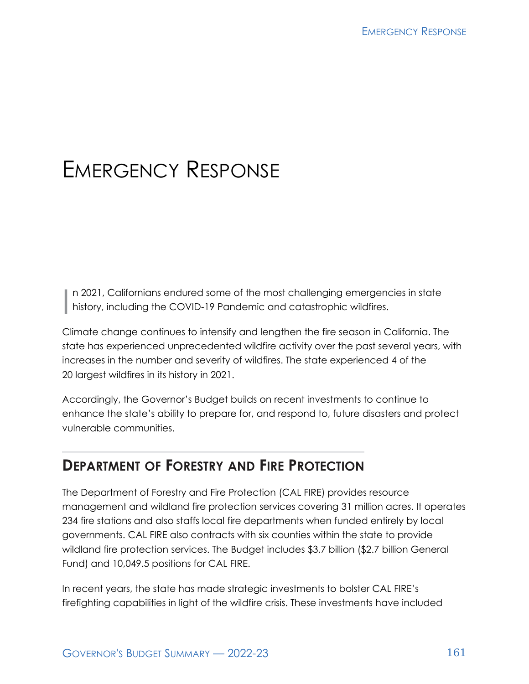# EMERGENCY RESPONSE

1 n 2021, Californians endured some of the most challenging emergencies in state history, including the COVID-19 Pandemic and catastrophic wildfires.

Climate change continues to intensify and lengthen the fire season in California. The state has experienced unprecedented wildfire activity over the past several years, with increases in the number and severity of wildfires. The state experienced 4 of the 20 largest wildfires in its history in 2021.

Accordingly, the Governor's Budget builds on recent investments to continue to enhance the state's ability to prepare for, and respond to, future disasters and protect vulnerable communities.

# **DEPARTMENT OF FORESTRY AND FIRE PROTECTION**

The Department of Forestry and Fire Protection (CAL FIRE) provides resource management and wildland fire protection services covering 31 million acres. It operates 234 fire stations and also staffs local fire departments when funded entirely by local governments. CAL FIRE also contracts with six counties within the state to provide wildland fire protection services. The Budget includes \$3.7 billion (\$2.7 billion General Fund) and 10,049.5 positions for CAL FIRE.

In recent years, the state has made strategic investments to bolster CAL FIRE's firefighting capabilities in light of the wildfire crisis. These investments have included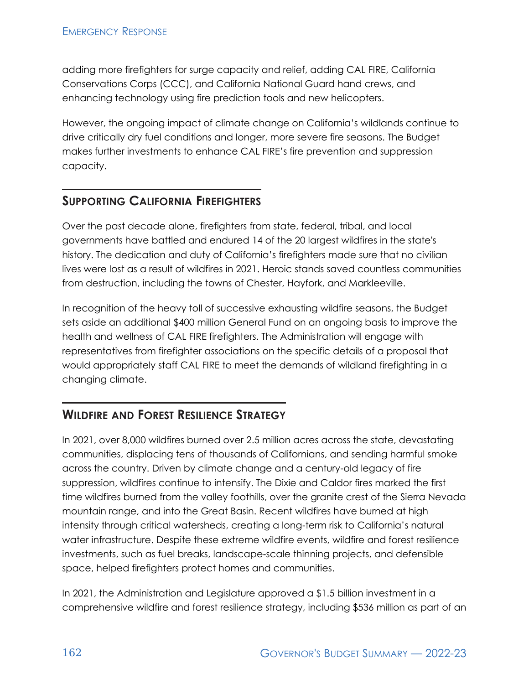adding more firefighters for surge capacity and relief, adding CAL FIRE, California Conservations Corps (CCC), and California National Guard hand crews, and enhancing technology using fire prediction tools and new helicopters.

However, the ongoing impact of climate change on California's wildlands continue to drive critically dry fuel conditions and longer, more severe fire seasons. The Budget makes further investments to enhance CAL FIRE's fire prevention and suppression capacity.

#### **SUPPORTING CALIFORNIA FIREFIGHTERS**

Over the past decade alone, firefighters from state, federal, tribal, and local governments have battled and endured 14 of the 20 largest wildfires in the state's history. The dedication and duty of California's firefighters made sure that no civilian lives were lost as a result of wildfires in 2021. Heroic stands saved countless communities from destruction, including the towns of Chester, Hayfork, and Markleeville.

In recognition of the heavy toll of successive exhausting wildfire seasons, the Budget sets aside an additional \$400 million General Fund on an ongoing basis to improve the health and wellness of CAL FIRE firefighters. The Administration will engage with representatives from firefighter associations on the specific details of a proposal that would appropriately staff CAL FIRE to meet the demands of wildland firefighting in a changing climate.

## **WILDFIRE AND FOREST RESILIENCE STRATEGY**

In 2021, over 8,000 wildfires burned over 2.5 million acres across the state, devastating communities, displacing tens of thousands of Californians, and sending harmful smoke across the country. Driven by climate change and a century‑old legacy of fire suppression, wildfires continue to intensify. The Dixie and Caldor fires marked the first time wildfires burned from the valley foothills, over the granite crest of the Sierra Nevada mountain range, and into the Great Basin. Recent wildfires have burned at high intensity through critical watersheds, creating a long-term risk to California's natural water infrastructure. Despite these extreme wildfire events, wildfire and forest resilience investments, such as fuel breaks, landscape‑scale thinning projects, and defensible space, helped firefighters protect homes and communities.

In 2021, the Administration and Legislature approved a \$1.5 billion investment in a comprehensive wildfire and forest resilience strategy, including \$536 million as part of an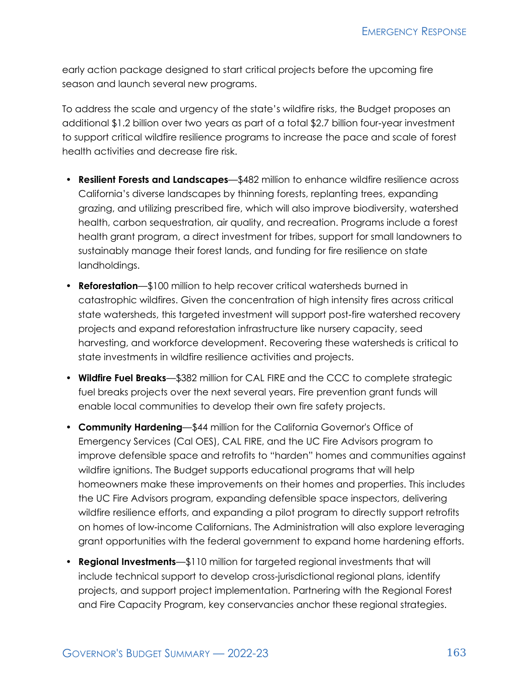early action package designed to start critical projects before the upcoming fire season and launch several new programs.

To address the scale and urgency of the state's wildfire risks, the Budget proposes an additional \$1.2 billion over two years as part of a total \$2.7 billion four‑year investment to support critical wildfire resilience programs to increase the pace and scale of forest health activities and decrease fire risk.

- **Resilient Forests and Landscapes**—\$482 million to enhance wildfire resilience across California's diverse landscapes by thinning forests, replanting trees, expanding grazing, and utilizing prescribed fire, which will also improve biodiversity, watershed health, carbon sequestration, air quality, and recreation. Programs include a forest health grant program, a direct investment for tribes, support for small landowners to sustainably manage their forest lands, and funding for fire resilience on state landholdings.
- **Reforestation**—\$100 million to help recover critical watersheds burned in catastrophic wildfires. Given the concentration of high intensity fires across critical state watersheds, this targeted investment will support post-fire watershed recovery projects and expand reforestation infrastructure like nursery capacity, seed harvesting, and workforce development. Recovering these watersheds is critical to state investments in wildfire resilience activities and projects.
- **Wildfire Fuel Breaks**—\$382 million for CAL FIRE and the CCC to complete strategic fuel breaks projects over the next several years. Fire prevention grant funds will enable local communities to develop their own fire safety projects.
- **Community Hardening**—\$44 million for the California Governor's Office of Emergency Services (Cal OES), CAL FIRE, and the UC Fire Advisors program to improve defensible space and retrofits to "harden" homes and communities against wildfire ignitions. The Budget supports educational programs that will help homeowners make these improvements on their homes and properties. This includes the UC Fire Advisors program, expanding defensible space inspectors, delivering wildfire resilience efforts, and expanding a pilot program to directly support retrofits on homes of low‑income Californians. The Administration will also explore leveraging grant opportunities with the federal government to expand home hardening efforts.
- **Regional Investments**—\$110 million for targeted regional investments that will include technical support to develop cross-jurisdictional regional plans, identify projects, and support project implementation. Partnering with the Regional Forest and Fire Capacity Program, key conservancies anchor these regional strategies.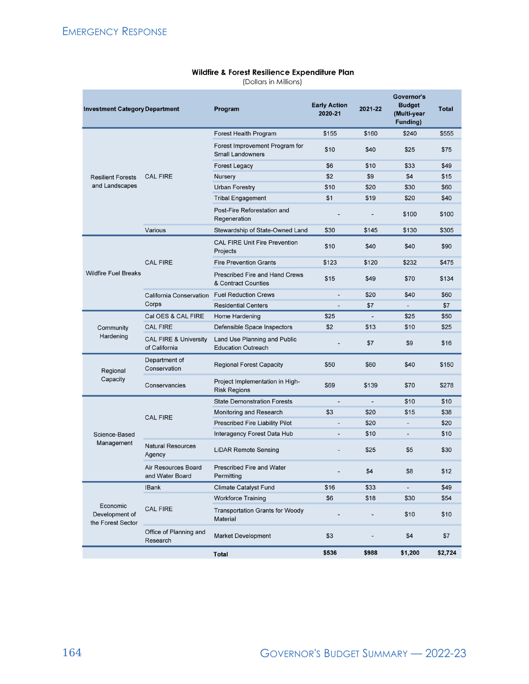#### Wildfire & Forest Resilience Expenditure Plan

(Dollars in Millions)

| <b>Investment Category Department</b>           |                                                   | Program                                                      | <b>Early Action</b><br>2020-21 | 2021-22                  | Governor's<br><b>Budget</b><br>(Multi-year<br>Funding) | Total   |
|-------------------------------------------------|---------------------------------------------------|--------------------------------------------------------------|--------------------------------|--------------------------|--------------------------------------------------------|---------|
| <b>Resilient Forests</b><br>and Landscapes      | <b>CAL FIRE</b>                                   | Forest Health Program                                        | \$155                          | \$160                    | \$240                                                  | \$555   |
|                                                 |                                                   | Forest Improvement Program for<br><b>Small Landowners</b>    | \$10                           | \$40                     | \$25                                                   | \$75    |
|                                                 |                                                   | <b>Forest Legacy</b>                                         | \$6                            | \$10                     | \$33                                                   | \$49    |
|                                                 |                                                   | Nursery                                                      | \$2                            | \$9                      | \$4                                                    | \$15    |
|                                                 |                                                   | <b>Urban Forestry</b>                                        | \$10                           | \$20                     | \$30                                                   | \$60    |
|                                                 |                                                   | <b>Tribal Engagement</b>                                     | \$1                            | \$19                     | \$20                                                   | \$40    |
|                                                 |                                                   | Post-Fire Reforestation and<br>Regeneration                  |                                |                          | \$100                                                  | \$100   |
|                                                 | Various                                           | Stewardship of State-Owned Land                              | \$30                           | \$145                    | \$130                                                  | \$305   |
| <b>Wildfire Fuel Breaks</b>                     | <b>CAL FIRE</b>                                   | <b>CAL FIRE Unit Fire Prevention</b><br>Projects             | \$10                           | \$40                     | \$40                                                   | \$90    |
|                                                 |                                                   | <b>Fire Prevention Grants</b>                                | \$123                          | \$120                    | \$232                                                  | \$475   |
|                                                 |                                                   | <b>Prescribed Fire and Hand Crews</b><br>& Contract Counties | \$15                           | \$49                     | \$70                                                   | \$134   |
|                                                 | California Conservation<br>Corps                  | <b>Fuel Reduction Crews</b>                                  |                                | \$20                     | \$40                                                   | \$60    |
|                                                 |                                                   | <b>Residential Centers</b>                                   | $\blacksquare$                 | \$7                      | $\overline{\phantom{a}}$                               | \$7     |
| Community<br>Hardening                          | Cal OES & CAL FIRE                                | Home Hardening                                               | \$25                           | $\blacksquare$           | \$25                                                   | \$50    |
|                                                 | <b>CAL FIRE</b>                                   | Defensible Space Inspectors                                  | \$2                            | \$13                     | \$10                                                   | \$25    |
|                                                 | <b>CAL FIRE &amp; University</b><br>of California | Land Use Planning and Public<br><b>Education Outreach</b>    |                                | \$7                      | \$9                                                    | \$16    |
| Regional<br>Capacity                            | Department of<br>Conservation                     | <b>Regional Forest Capacity</b>                              | \$50                           | \$60                     | \$40                                                   | \$150   |
|                                                 | Conservancies                                     | Project Implementation in High-<br><b>Risk Regions</b>       | \$69                           | \$139                    | \$70                                                   | \$278   |
| Science-Based<br>Management                     | <b>CAL FIRE</b>                                   | <b>State Demonstration Forests</b>                           | ÷,                             | $\overline{\phantom{a}}$ | \$10                                                   | \$10    |
|                                                 |                                                   | Monitoring and Research                                      | \$3                            | \$20                     | \$15                                                   | \$38    |
|                                                 |                                                   | Prescribed Fire Liability Pilot                              |                                | \$20                     |                                                        | \$20    |
|                                                 |                                                   | Interagency Forest Data Hub                                  | $\overline{a}$                 | \$10                     | $\overline{\phantom{0}}$                               | \$10    |
|                                                 | <b>Natural Resources</b><br>Agency                | <b>LiDAR Remote Sensing</b>                                  |                                | \$25                     | \$5                                                    | \$30    |
|                                                 | Air Resources Board<br>and Water Board            | <b>Prescribed Fire and Water</b><br>Permitting               |                                | \$4                      | \$8                                                    | \$12    |
| Economic<br>Development of<br>the Forest Sector | <b>IBank</b>                                      | <b>Climate Catalyst Fund</b>                                 | \$16                           | \$33                     | ÷,                                                     | \$49    |
|                                                 | <b>CAL FIRE</b>                                   | <b>Workforce Training</b>                                    | \$6                            | \$18                     | \$30                                                   | \$54    |
|                                                 |                                                   | <b>Transportation Grants for Woody</b><br>Material           |                                |                          | \$10                                                   | \$10    |
|                                                 | Office of Planning and<br>Research                | <b>Market Development</b>                                    | \$3                            |                          | \$4                                                    | \$7     |
|                                                 |                                                   | <b>Total</b>                                                 | \$536                          | \$988                    | \$1,200                                                | \$2,724 |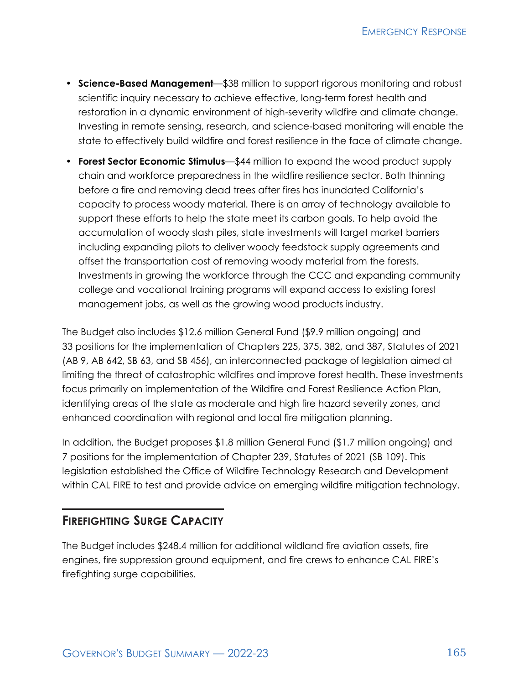- **Science‑Based Management**—\$38 million to support rigorous monitoring and robust scientific inquiry necessary to achieve effective, long-term forest health and restoration in a dynamic environment of high-severity wildfire and climate change. Investing in remote sensing, research, and science‑based monitoring will enable the state to effectively build wildfire and forest resilience in the face of climate change.
- **Forest Sector Economic Stimulus**—\$44 million to expand the wood product supply chain and workforce preparedness in the wildfire resilience sector. Both thinning before a fire and removing dead trees after fires has inundated California's capacity to process woody material. There is an array of technology available to support these efforts to help the state meet its carbon goals. To help avoid the accumulation of woody slash piles, state investments will target market barriers including expanding pilots to deliver woody feedstock supply agreements and offset the transportation cost of removing woody material from the forests. Investments in growing the workforce through the CCC and expanding community college and vocational training programs will expand access to existing forest management jobs, as well as the growing wood products industry.

The Budget also includes \$12.6 million General Fund (\$9.9 million ongoing) and 33 positions for the implementation of Chapters 225, 375, 382, and 387, Statutes of 2021 (AB 9, AB 642, SB 63, and SB 456), an interconnected package of legislation aimed at limiting the threat of catastrophic wildfires and improve forest health. These investments focus primarily on implementation of the Wildfire and Forest Resilience Action Plan, identifying areas of the state as moderate and high fire hazard severity zones, and enhanced coordination with regional and local fire mitigation planning.

In addition, the Budget proposes \$1.8 million General Fund (\$1.7 million ongoing) and 7 positions for the implementation of Chapter 239, Statutes of 2021 (SB 109). This legislation established the Office of Wildfire Technology Research and Development within CAL FIRE to test and provide advice on emerging wildfire mitigation technology.

## **FIREFIGHTING SURGE CAPACITY**

The Budget includes \$248.4 million for additional wildland fire aviation assets, fire engines, fire suppression ground equipment, and fire crews to enhance CAL FIRE's firefighting surge capabilities.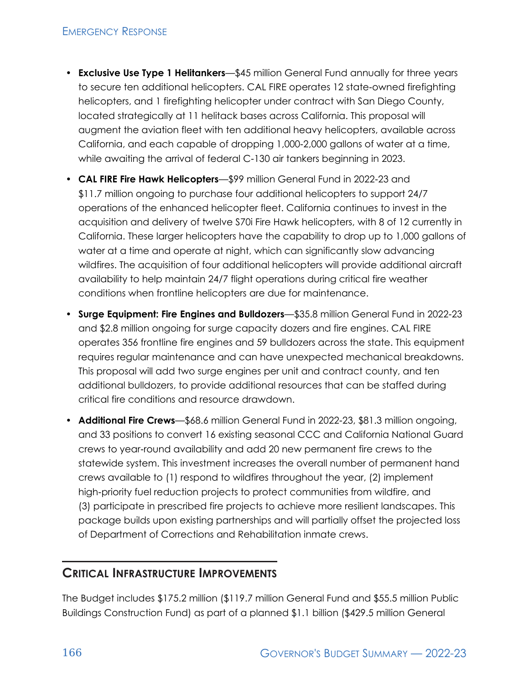#### **EMERGENCY RESPONSE**

- **Exclusive Use Type 1 Helitankers**—\$45 million General Fund annually for three years to secure ten additional helicopters. CAL FIRE operates 12 state-owned firefighting helicopters, and 1 firefighting helicopter under contract with San Diego County, located strategically at 11 helitack bases across California. This proposal will augment the aviation fleet with ten additional heavy helicopters, available across California, and each capable of dropping 1,000‑2,000 gallons of water at a time, while awaiting the arrival of federal C-130 air tankers beginning in 2023.
- **CAL FIRE Fire Hawk Helicopters**—\$99 million General Fund in 2022‑23 and \$11.7 million ongoing to purchase four additional helicopters to support 24/7 operations of the enhanced helicopter fleet. California continues to invest in the acquisition and delivery of twelve S70i Fire Hawk helicopters, with 8 of 12 currently in California. These larger helicopters have the capability to drop up to 1,000 gallons of water at a time and operate at night, which can significantly slow advancing wildfires. The acquisition of four additional helicopters will provide additional aircraft availability to help maintain 24/7 flight operations during critical fire weather conditions when frontline helicopters are due for maintenance.
- **Surge Equipment: Fire Engines and Bulldozers**—\$35.8 million General Fund in 2022‑23 and \$2.8 million ongoing for surge capacity dozers and fire engines. CAL FIRE operates 356 frontline fire engines and 59 bulldozers across the state. This equipment requires regular maintenance and can have unexpected mechanical breakdowns. This proposal will add two surge engines per unit and contract county, and ten additional bulldozers, to provide additional resources that can be staffed during critical fire conditions and resource drawdown.
- **Additional Fire Crews**—\$68.6 million General Fund in 2022‑23, \$81.3 million ongoing, and 33 positions to convert 16 existing seasonal CCC and California National Guard crews to year‑round availability and add 20 new permanent fire crews to the statewide system. This investment increases the overall number of permanent hand crews available to (1) respond to wildfires throughout the year, (2) implement high-priority fuel reduction projects to protect communities from wildfire, and (3) participate in prescribed fire projects to achieve more resilient landscapes. This package builds upon existing partnerships and will partially offset the projected loss of Department of Corrections and Rehabilitation inmate crews.

#### **CRITICAL INFRASTRUCTURE IMPROVEMENTS**

The Budget includes \$175.2 million (\$119.7 million General Fund and \$55.5 million Public Buildings Construction Fund) as part of a planned \$1.1 billion (\$429.5 million General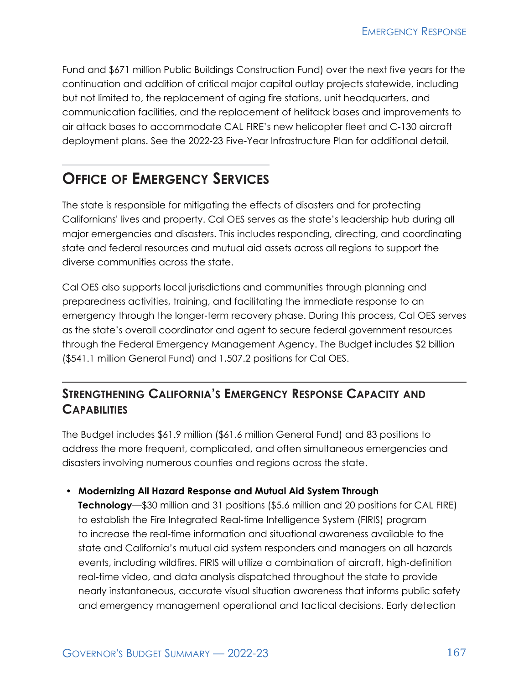Fund and \$671 million Public Buildings Construction Fund) over the next five years for the continuation and addition of critical major capital outlay projects statewide, including but not limited to, the replacement of aging fire stations, unit headquarters, and communication facilities, and the replacement of helitack bases and improvements to air attack bases to accommodate CAL FIRE's new helicopter fleet and C‑130 aircraft deployment plans. See the 2022‑23 Five‑Year Infrastructure Plan for additional detail.

# **OFFICE OF EMERGENCY SERVICES**

The state is responsible for mitigating the effects of disasters and for protecting Californians' lives and property. Cal OES serves as the state's leadership hub during all major emergencies and disasters. This includes responding, directing, and coordinating state and federal resources and mutual aid assets across all regions to support the diverse communities across the state.

Cal OES also supports local jurisdictions and communities through planning and preparedness activities, training, and facilitating the immediate response to an emergency through the longer-term recovery phase. During this process, Cal OES serves as the state's overall coordinator and agent to secure federal government resources through the Federal Emergency Management Agency. The Budget includes \$2 billion (\$541.1 million General Fund) and 1,507.2 positions for Cal OES.

## **STRENGTHENING CALIFORNIA'S EMERGENCY RESPONSE CAPACITY AND CAPABILITIES**

The Budget includes \$61.9 million (\$61.6 million General Fund) and 83 positions to address the more frequent, complicated, and often simultaneous emergencies and disasters involving numerous counties and regions across the state.

#### • **Modernizing All Hazard Response and Mutual Aid System Through**

**Technology**—\$30 million and 31 positions (\$5.6 million and 20 positions for CAL FIRE) to establish the Fire Integrated Real-time Intelligence System (FIRIS) program to increase the real-time information and situational awareness available to the state and California's mutual aid system responders and managers on all hazards events, including wildfires. FIRIS will utilize a combination of aircraft, high-definition real-time video, and data analysis dispatched throughout the state to provide nearly instantaneous, accurate visual situation awareness that informs public safety and emergency management operational and tactical decisions. Early detection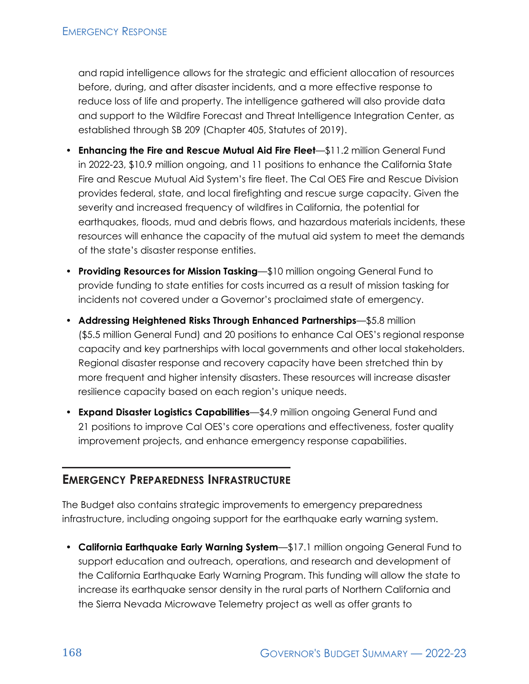and rapid intelligence allows for the strategic and efficient allocation of resources before, during, and after disaster incidents, and a more effective response to reduce loss of life and property. The intelligence gathered will also provide data and support to the Wildfire Forecast and Threat Intelligence Integration Center, as established through SB 209 (Chapter 405, Statutes of 2019).

- **Enhancing the Fire and Rescue Mutual Aid Fire Fleet**—\$11.2 million General Fund in 2022‑23, \$10.9 million ongoing, and 11 positions to enhance the California State Fire and Rescue Mutual Aid System's fire fleet. The Cal OES Fire and Rescue Division provides federal, state, and local firefighting and rescue surge capacity. Given the severity and increased frequency of wildfires in California, the potential for earthquakes, floods, mud and debris flows, and hazardous materials incidents, these resources will enhance the capacity of the mutual aid system to meet the demands of the state's disaster response entities.
- **Providing Resources for Mission Tasking**—\$10 million ongoing General Fund to provide funding to state entities for costs incurred as a result of mission tasking for incidents not covered under a Governor's proclaimed state of emergency.
- **Addressing Heightened Risks Through Enhanced Partnerships**—\$5.8 million (\$5.5 million General Fund) and 20 positions to enhance Cal OES's regional response capacity and key partnerships with local governments and other local stakeholders. Regional disaster response and recovery capacity have been stretched thin by more frequent and higher intensity disasters. These resources will increase disaster resilience capacity based on each region's unique needs.
- **Expand Disaster Logistics Capabilities**—\$4.9 million ongoing General Fund and 21 positions to improve Cal OES's core operations and effectiveness, foster quality improvement projects, and enhance emergency response capabilities.

#### **EMERGENCY PREPAREDNESS INFRASTRUCTURE**

The Budget also contains strategic improvements to emergency preparedness infrastructure, including ongoing support for the earthquake early warning system.

• **California Earthquake Early Warning System**—\$17.1 million ongoing General Fund to support education and outreach, operations, and research and development of the California Earthquake Early Warning Program. This funding will allow the state to increase its earthquake sensor density in the rural parts of Northern California and the Sierra Nevada Microwave Telemetry project as well as offer grants to